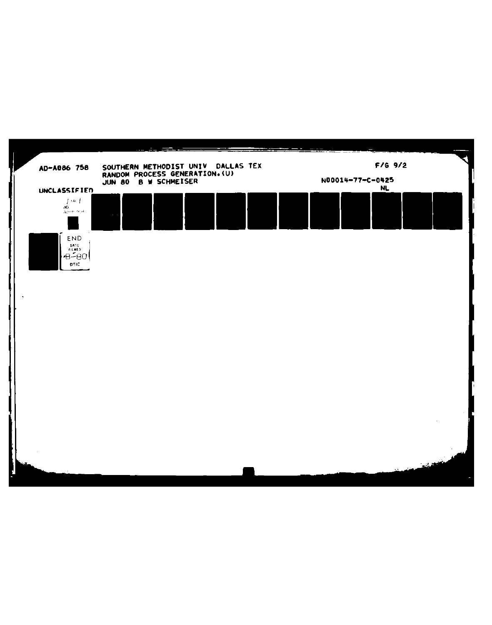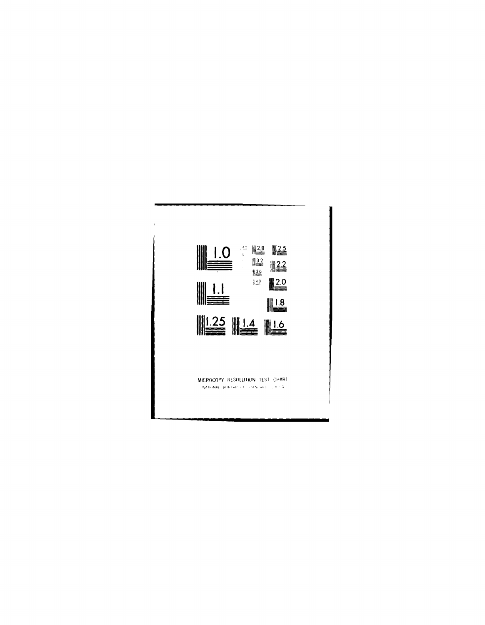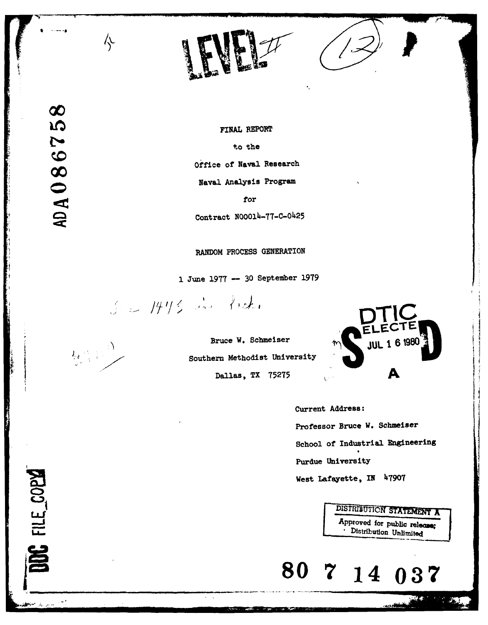

DOC FILE\_COPY

الدابي المجراسم

FINAL REPORT to the Office of Naval Research Naval Analysis Program

 $\ddot{\phantom{a}}$ 

for

Contract **N00014-77-C-0425**

# RANDOM **PROCESS** GENERATION

1 June **1977 - 30** September **1979**

See 1473 in Pred.

亽

**Southern** Methodist University



Current Address: Professor Bruce W. Schmeiser School of Industrial Engineering Purdue University West Lafayette, IN **47907**

> **DISTRIBUTION STATEMENT A** Approved for public release;<br> **Constrainer** Unlimited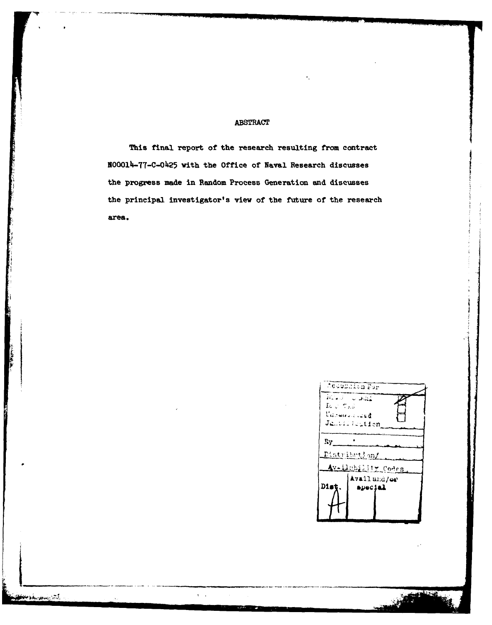# **ABSTRACT**

This final report of the research resulting from contract N00014-77-C-0425 with the Office of Naval Research discusses the progress made in Random Process Generation and discusses the principal investigator's view of the future of the research area.

 $\mathbf{r}=\mathbf{r}$ 



ART AND RESEARCH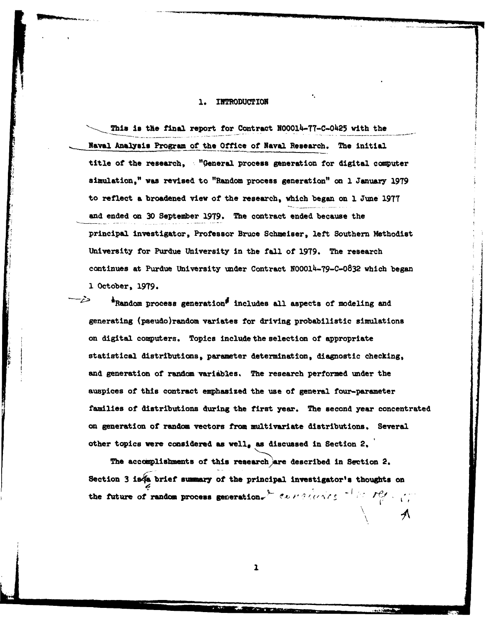#### **INTRODUCTION** ٦.

This is the final report for Contract NOOO14-77-C-0425 with the **Naval** Analysis Program **of the** Office of Naval Research. The initial title of the research, "General process generation for digital computer simulation," **was** revised to "Random process generation" on **1** January **<sup>1979</sup>** to reflect **a** broadened view of the research, which began on **1** June **1977** and ended on **30** September **1979.** The contract ended because the principal investigator, Professor Bruce Schmeiser, left Southern Methodist University for Purdue University in the **fall** of **1979.** The research continues at Purdue University under Contract N00014-79-C-0832 which began **1** October, **1979.**

\*Random process generation<sup>5</sup> includes all aspects of modeling and generating (pseudo)random variates for driving probabilistic simulations on digital computers. Topics include the selection of appropriate statistical distributions, parameter determination, diagnostic checking, and generation of random variables, The research performed under the auspices of this contract emphasized the use of general four-parameter families of distributions during the first year. The second year concentrated on generation of random vectors from multivariate distributions. Several other topics were considered as well, as discussed in Section **2,**

The accomplishments of this research are described in Section 2. Section 3 is a brief summary of the principal investigator's thoughts on the future of random process generation.<sup>9</sup>  $\alpha$ *, in all instantly in the interprettion.* 

 $\overline{1}$ 

へ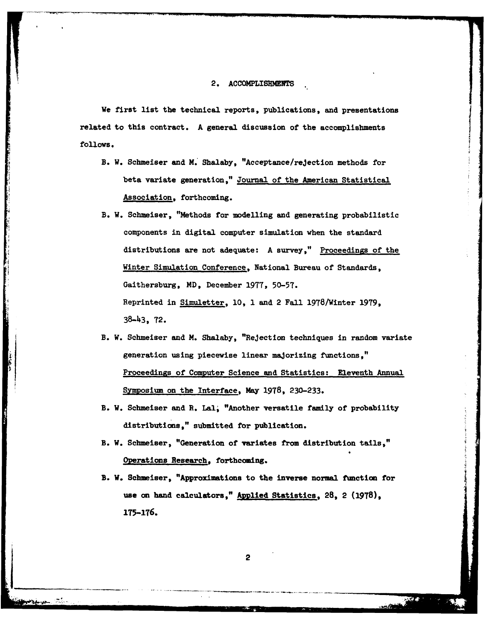#### **2. ACCOMPLISBMENTS**

We first list the technical reports, publications, and presentations related to this contract. **A** general discussion of the accomplishments **follows.**

- B. W. Schmeiser and M. Shalaby, "Acceptance/rejection methods for beta variate generation," Journal of the American Statistical Association, forthcoming.
- B. W. Schmeiser, "Methods for modelling and generating probabilistic components in digital computer simulation when the standard distributions are not adequate: A survey," Proceedings of the Winter Simulation Conference, National Bureau of Standards, Gaithersburg, MD, December **1977,** 50-57. Reprinted in Simuletter, **10, 1** and 2 Fall 1978/Winter **1979, 38-43,** 72.
- B. **W.** Schmeiser and **M.** Shalaby, "Rejection techniques in random variate generation using piecewise linear majorizing functions," Proceedings of Computer Science and Statistics: Eleventh Annual Symposium on the Interface, May **1978, 230-233.**
- B. W. Schmeiser and R. Lal. "Another versatile family of probability distributions," submitted for publication.
- B. W. Schmeiser, "Generation of variates from distribution tails," Operations Research, forthcoming.
- B. **W.** Schmeiser, "Approximations to the inverse normal function for use **on** hand calculators," **Applied** Statistics, **28,** 2 **(1978), 175-176.**

2

سجوسية والعيط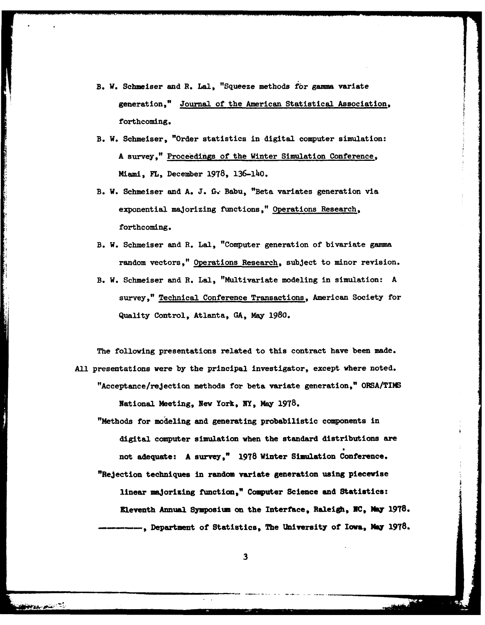- B. W. Schmeiser and R. Lal, "Squeeze methods for gamma variate generation," Journal of the American Statistical Association, forthcoming.
- B. W. Schmeiser, "Order statistics in digital computer simulation: A survey," Proceedings of the Winter Simulation Conference, Miami, FL, December **1978,** 136-14o.
- B. W. Schmeiser and A. **J. G.** Babu, "Beta variates generation via exponential majorizing functions," Operations Research, forthcoming.
- B. **W.** Schmeiser and R. Lal, "Computer generation of bivariate *gamma* random vectors," Operations Research, subject to minor revision.
- B. W. Schmeiser and **R.** Lal, "Multivariate modeling in simulation: A survey," Technical Conference Transactions, American Society for Quality Control, Atlanta, **GA,** May 1980.

The following presentations related to this contract have been made. All presentations were **by** the principal investigator, except where noted. "Acceptance/rejection methods for beta variate generation," ORSA/TIMS National Meeting, New York, **NY, May 1978.**

"Methods for modeling and generating probabilistic components in digital computer simulation when the standard distributions are not adequate: A survey," **1978** Winter Simulation Conference. "Rejection techniques in random variate generation using piecewise linear majorizing function," Computer Science and Statistics: Eleventh Annual Symposium on the Interface, **Raleigh, NC, May 1978. ,** Department of Statistics, The University of Iowa, **May 1978.**

**3**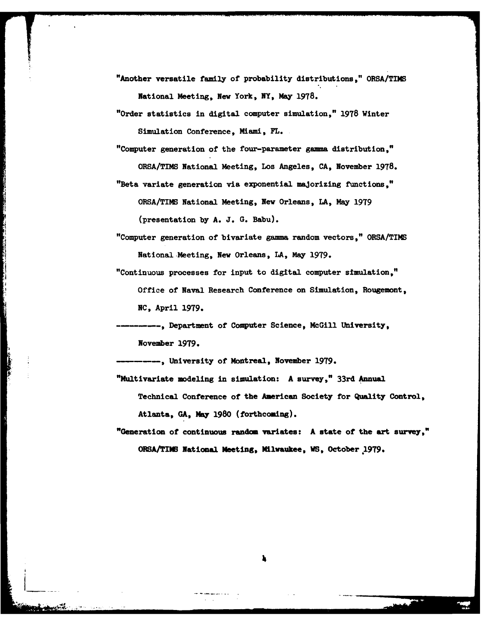"Another versatile family of probability distributions," ORSA/TIMS National Meeting, **New** York, NY, May **1978.**

"Order statistics in digital computer simulation," 1978 Winter Simulation Conference , Miami, FL.

"Computer generation of the four-parameter gamma distribution," ORSA/TIMS National Meeting, Los Angeles, CA, November **1978.** "Beta variate generation via exponential maJorizing functions,"

ORSA/TIMS National Meeting, New Orleans, **LA,** May **1979** (presentation **by A. J. G.** Babu).

"Computer generation of bivariate gamma random vectors," ORSA/TIMS National Meeting, New Orleans, LA, May 1979.

"Continuous processes for input to digital computer simulation," Office of Naval Research Conference on Simulation, Rougemont, **NC,** April **1979.**

----, Department of Computer Science, McGill University, November **1979.**

---- , University of Montreal, November **1979.**

"Multivariate modeling in simulation: A survey," 33rd Annual Technical Conference of the American Society for Quality Control, Atlanta, **GA, May 1980** (forthcoming).

"Generation of continuous random variates: A state of the art survey," OBSA/TIB National Meeting, Milwaukee, **WS,** October **199.**

'i.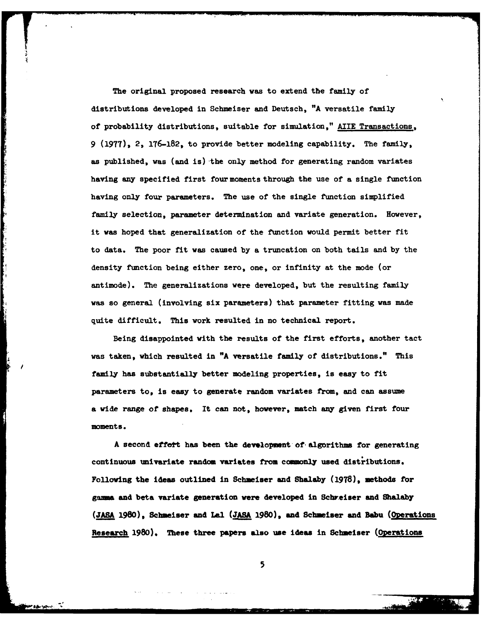The original proposed research was to extend the family of distributions developed in Schmeiser and Deutsch, "A versatile family of probability distributions, suitable for simulation," AIIE Transactions, **<sup>9</sup>**(1977), 2, 176-182, to provide better modeling capability. The family, as published, was (and is) the only method for generating random variates having any specified first four moments through the use of a single function having only four parameters. The use of the single function simplified family selection, parameter determination and variate generation. However, it **was** hoped that generalization of the function would permit better fit to data. The poor fit was caused **by** a truncation on both tails and **by** the density function being either zero, one, or infinity at the mode (or antimode). The generalizations were developed, but the resulting family was so general (involving six parameters) that parameter fitting was made quite difficult. This work resulted in no technical report.

Being disappointed with the results of the first efforts, another tact was taken, which resulted in **"A** versatile family of distributions." This family has substantially better modeling properties, is easy to fit parameters to, is easy to generate random variates from, and can assume a wide range of shapes, It can not, however, match any given first four moments.

A second effett has been the development of algorithms for generating continuous univariate random variates from commonly used distributions. Folloving the ideas outlined in Scheiser and Shalaby **(19T8),** methods for **gamma** and beta variate generation were developed in Schreiser and Shalaby **(JASA** 19W0), Schmeiser and **Ll (JASA 1980),** and Sebmeiser and Babu (Operations Research 1980). These three papers also use ideas in Schmeiser (Operations

**5**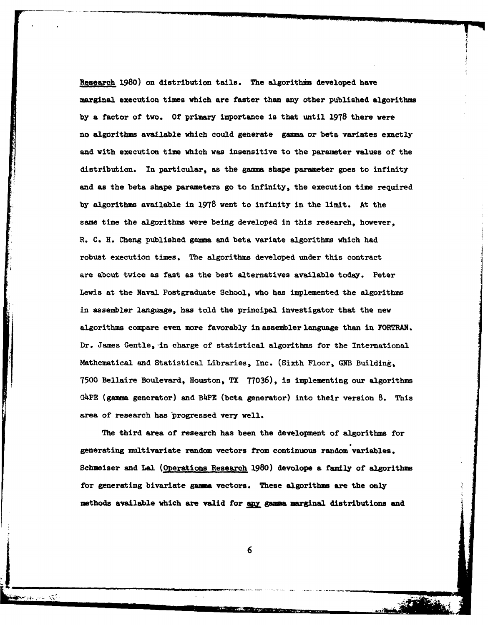Research **1980)** on distribution tails. The algorithms developed have marginal execution times which are faster than any other published algorithms **by** a factor of two. **Of** primary importance is that until **1978** there were no algorithms available which could generate gamma or beta variates exactly and with execution time which was insensitive to the parameter values of the distribution. In particular, as the gamma shape parameter goes to infinity and as the beta shape parameters go to infinity, the execution time required by algorithms available in **1978** went to infinity in the limit. At the same time the algorithms were being developed in this research, however, R. C. H. Cheng published gama and beta variate algorithms which had robust execution times. The algorithms developed under this contract are about twice as fast as the best alternatives available today. Peter Lewis at the Naval Postgraduate School, who has implemented the algorithms in assembler language, has told the principal investigator that the new algorithms compare even more favorably in assembler language than in FORTRAN. Dr. James Gentle, in charge of statistical algorithms for the International Mathematical **and** Statistical Libraries, Inc. (Sixth Floor, **GNB** Building, **7500** Bellaire Boulevard, Houston, TX **71036),** is implementing our algorithms G4PE (gamma generator) and B4PE (beta generator) into their version **8.** This area of research has progressed very well.

The third area of research has been the development of algorithms for generating multivariate random vectors from continuous random variables. Schmeiser and Lal (Operations Research **1980)** devolope a family of algorithms for generating bivariate **gazua** vectors. These algorithms are the only methods available which are valid for any gamma marginal distributions and

j **<sup>6</sup>**

 $-11$ 

-. .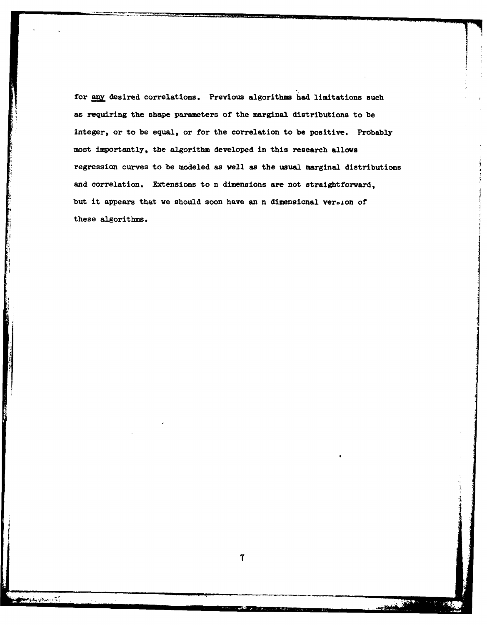for any desired correlations. Previous algorithms had limitations such as requiring the shape parameters of the marginal distributions to be integer, or to be equal, or for the correlation to be positive. Probably most importantly, the algorithm developed in this research allows regression curves to be modeled as well as the usual marginal distributions and correlation. Extensions to n dimensions are not straightforward, but it appears that we should soon have an n dimensional verbion of these algorithms.

ب<br>با ساخته می گذشته به منطقه به منطقه به منطقه به منطقه به منطقه به منطقه به منطقه به منطقه به منطقه به منطقه به<br>این منطقه به منطقه به منطقه به منطقه به منطقه به منطقه به منطقه به منطقه به منطقه به منطقه به منطقه به منطق

الكاتب بن الأوسط وجمهو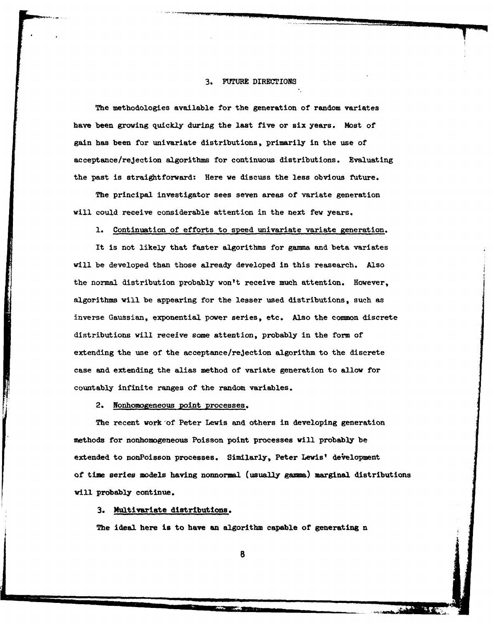### **3. FUTURE** DIRECTIONS

The methodologies available for the generation of random variates have been growing quickly during the last five or six years. Most of gain has been for univariate distributions, primarily in the use of acceptance/rejection algorithms for continuous distributions. Evaluating the past is straightforward: Here we discuss the less obvious future.

The principal investigator sees seven areas of variate generation will **could** receive considerable attention in the next few years.

**1.** Continuation of efforts to speed univariate variate generation.

It is not likely that faster algorithms for **gama** and beta variates **will** be developed than those already developed in this reasearch. Also the normal distribution probably won't receive much attention. However, algorithms will be appearing for the lesser used distributions, such as inverse Gaussian, exponential power series, etc. Also the common discrete distributions will receive some attention, probably in the form of extending the use of the acceptance/rejection algorithm to the discrete case and extending the alias method of variate generation to allow for countably infinite ranges of the random variables.

2. Nonhomogeneous point processes.

The recent work of Peter Lewis and others in developing generation methods for nonhomogeneous Poisson point processes will probably be extended to nonPoisson processes. Similarly, Peter Lewis' development of time series models having nonnormal (usually gamma) marginal distributions will probably continue.

**3.** Multivariate distributions.

The ideal here is to have an algorithm capable of generating n

**.. ..** 6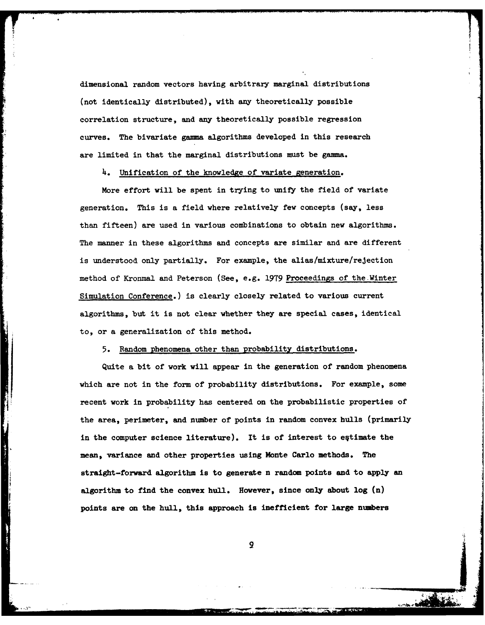dimensional random vectors having arbitrary marginal distributions (not identically distributed), with any theoretically possible correlation structure, and any theoretically possible regression curves. The bivariate gamma algorithms developed in this research are limited in that the marginal distributions must be gamma.

4. Unification of the knowledge of variate generation.

More effort will be spent in trying to unify the field of variate generation. This is a field where relatively few concepts (say, less than fifteen) are used in various combinations to obtain new algorithms. The manner in these algorithms and concepts are similar and are different is understood only partially. For example, the alias/mixture/rejection method of Kronmal and Peterson (See, e.g. **1979** Proceedings of the.Winter Simulation Conference.) is clearly closely related to various current algorithms, but it is not clear whether they are special cases, identical to, or a generalization of this method.

**5.** Random phenomena other than probability distributions.

**Quite a** bit **of** work will appear **in the** generation **of random phenomena** which are not in the form of probability distributions. For example, some recent work in probability has centered on the probabilistic properties of **the** area, perimeter, and number of points in random convex hulls (primarily in the computer science literature). It is of interest to eqtimate the mean, variance and other properties using Monte Carlo methods. The straight-forward algorithm is to generate **n** random points and to apply an algorithm to find the **convex hull. However, since only about log (n) points are on the hull,** this **approach is inefficient for large numbers**

the company of the state of the com-

9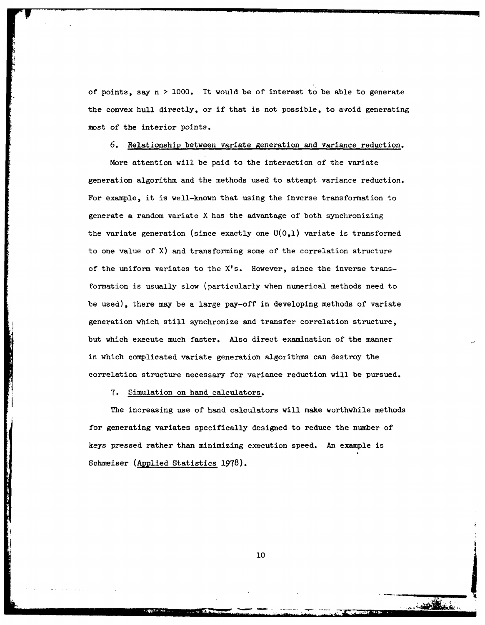of points, say n **>** 1000. It would be of interest to be able to generate the convex hull directly, or if that is not possible, to avoid generating most of the interior points.

# 6. Relationship between variate generation and variance reduction.

More attention will be paid to the interaction of the variate generation algorithm and the methods used to attempt variance reduction. For example, it is well-known that using the inverse transformation to generate a random variate X has the advantage of both synchronizing the variate generation (since exactly one **U(0,1)** variate is transformed to one value of X) and transforming some of the correlation structure of the uniform variates to the X's. However, since the inverse transformation is usually slow (particularly when numerical methods need to be used), there may be a large pay-off in developing methods of variate generation which still synchronize and transfer correlation structure, but which execute much faster. Also direct examination of the manner in which complicated variate generation algorithms can destroy the correlation structure necessary for variance reduction will be pursued.

7. Simulation on hand calculators.

The increasing use of hand calculators will make worthwhile methods for generating variates specifically designed to reduce the number of keys pressed rather than minimizing execution speed. An example is Schmeiser (Applied Statistics 1978).

**10**

*M-* .

**Marshall**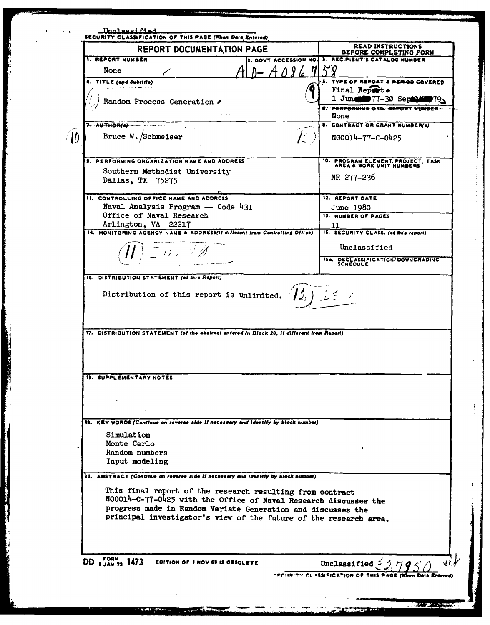**Unclassified** SECURITY CLASSIFICATION OF THIS PAGE (When Data Entered) **READ INSTRUCTIONS** REPORT DOCUMENTATION PAGE BEFORE COMPLETING FORM **1. REPORT NUMBER** 2. GOVT ACCESSION NO. 3. RECIPIENT'S CATALOG NUMBER  $\Lambda$  8 6 71 None 5. TYPE OF REPORT & PERIOD COVERED 4. TITLE (and Subtitle) Final Report. 1 June 77-30 September 79, Random Process Generation 6. PERFORMING ORG. REPORT NUMBER-None  $7.$  AUTHOR(e) **8. CONTRACT OR GRANT NUMBER(s)**  $\hat{L}$  )  $\bigwedge$ Bruce W. Schmeiser N00014-77-C-0425 9. PERFORMING ORGANIZATION NAME AND ADDRESS 10. PROGRAM ELEMENT PROJECT, TASK AREA & WORK UNIT NUMBERS Southern Methodist University NR 277-236 Dallas, TX 75275 11. CONTROLLING OFFICE NAME AND ADDRESS 12. REPORT DATE Naval Analysis Program -- Code 431 June 1980 Office of Naval Research **13. NUMBER OF PAGES** Arlington, VA 22217 ננ 14. MONITORING AGENCY NAME & ADDRESS(il different from Controlling Office) 15. SECURITY CLASS. (of this report) Unclassified エル・マグ 154. DECLASSIFICATION/DOWNGRADING<br>SCHEDULE 16. DISTRIBUTION STATEMENT (of this Report)  $(13.125)$ Distribution of this report is unlimited. 17. DISTRIBUTION STATEMENT (of the abstract entered in Block 20, if different from Report) 18. SUPPLEMENTARY NOTES 19. KEY WORDS (Continue on reverse side if necessary and identify by block number) Simulation Monte Carlo Random numbers Input modeling 20. ABSTRACT (Continue on reverse side if necessary and identify by block number) This final report of the research resulting from contract N00014-C-77-0425 with the Office of Naval Research discusses the progress made in Random Variate Generation and discusses the principal investigator's view of the future of the research area.  $DD_{1,34N,73}$  1473 **EDITION OF 1 NOV 65 IS OBSOLETE** Unclassified  $\leq$ Μř FECURITY CLASSIFICATION OF THIS

**CONTRACTOR**